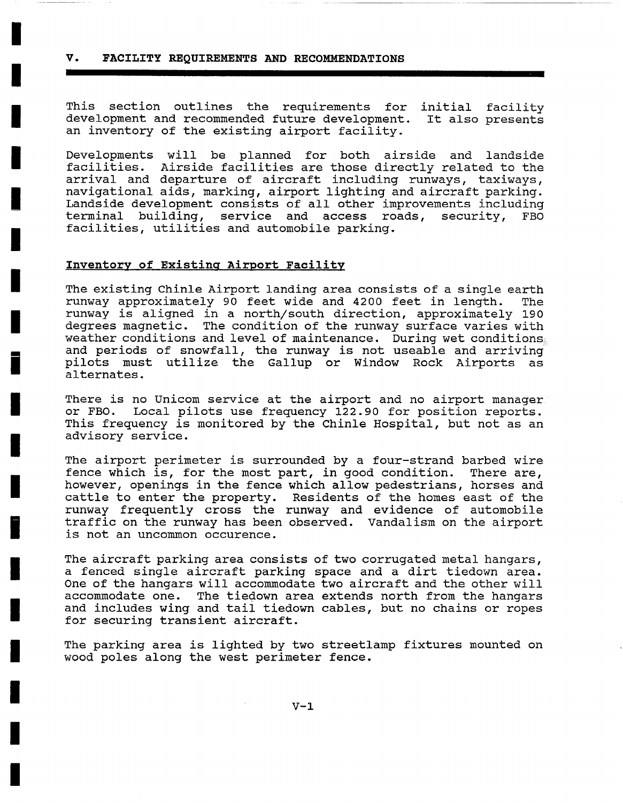## **V. FACILITY REQUIREMENTS AND RECOMMENDATIONS**

**I** 

**I** 

**I** 

**I** 

**I** 

**I** 

**I** 

**I** 

**i** 

**I** 

**I** 

**I** 

**i** 

**I** 

**I** 

**I** 

**I** 

**I** 

**I** 

This section outlines the requirements for initial facility development and recommended future development. It also presents an inventory of the existing airport facility.

Developments will be planned for both airside and landside facilities. Airside facilities are those directly related to the arrival and departure of aircraft including runways, taxiways, navigational aids, marking, airport lighting and aircraft parking. Landside development consists of all other improvements including terminal building, service and access roads, security, FBO facilities, utilities and automobile parking.

## **Inventory** of Existing Airport Facility

The existing Chinle Airport landing area consists of a single earth runway approximately 90 feet wide and 4200 feet in length. The runway is aligned in a north/south direction, approximately 190 degrees magnetic. The condition of the runway surface varies with weather conditions and level of maintenance. During wet conditions $_{\scriptscriptstyle\rm g}$ and periods of snowfall, the runway is not useable and arriving pilots must utilize the Gallup or Window Rock Airports as alternates.

There is no Unicom service at the airport and no airport manager or FBO. Local pilots use frequency 122.90 for position reports. This frequency is monitored by the Chinle Hospital, but not as an advisory service.

The airport perimeter is surrounded by a four-strand barbed wire fence which is, for the most part, in good condition. There are, however, openings in the fence which allow pedestrians, horses and cattle to enter the property. Residents of the homes east of the runway frequently cross the runway and evidence of automobile traffic on the runway has been observed. Vandalism on the airport is not an uncommon occurence.

The aircraft parking area consists of two corrugated metal hangars, a fenced single aircraft parking space and a dirt tiedown area. One of the hangars will accommodate two aircraft and the other will accommodate one. The tiedown area extends north from the hangars and includes wing and tail tiedown cables, but no chains or ropes for securing transient aircraft.

The parking area is lighted by two streetlamp fixtures mounted on wood poles along the west perimeter fence.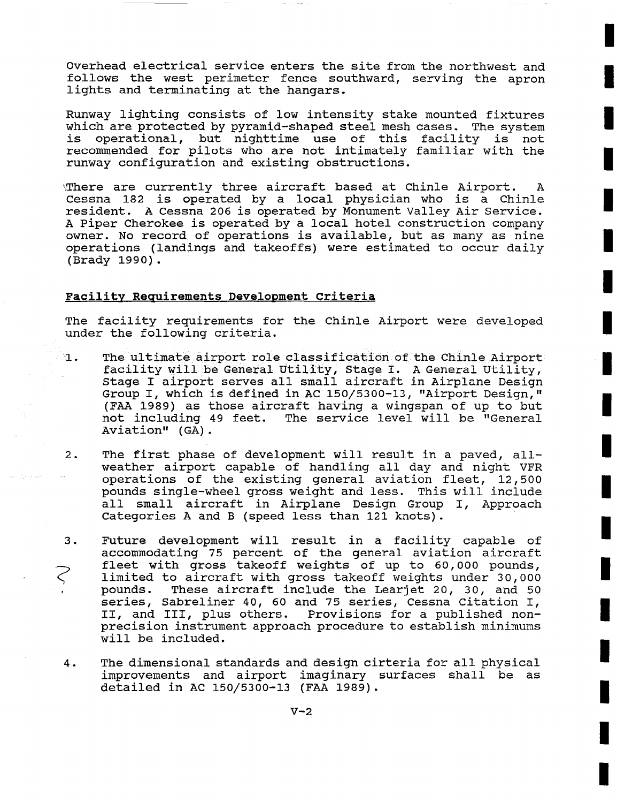Overhead electrical service enters the site from the northwest and follows the west perimeter fence southward, serving the apron lights and terminating at the hangars.

Runway lighting consists of low intensity stake mounted fixtures which are protected by pyramid-shaped steel mesh cases. The system is operational, but nighttime use of this facility is not recommended for pilots who are not intimately familiar with the runway configuration and existing obstructions.

There are currently three aircraft based at Chinle Airport. A Cessna 182 is operated by a local physician who is a Chinle resident. A Cessna 206 is operated by Monument Valley Air Service. A Piper Cherokee is operated by a local hotel construction company owner. No record of operations is available, but as many as nine operations (landings and takeoffs) were estimated to occur daily (Brady 1990).

## Facility Requirements Development Criteria

The facility requirements for the Chinle Airport were developed under the following criteria.

- The ultimate airport role classification of the Chinle Airport 1. facility will be General Utility, Stage I. A General Utility, Stage I airport serves all small aircraft in Airplane Design Group I, which is defined in AC 150/5300-13, "Airport Design," (FAA 1989) as those aircraft having a wingspan of up to but not including 49 feet. The service level will be "General Aviation" (GA).
- **.** The first phase of development will result in a paved, allweather airport capable of handling all day and night VFR operations of the existing general aviation fleet, 12,500 pounds single-wheel gross weight and less. This will include all small aircraft in Airplane Design Group I, Approach Categories A and B (speed less than 121 knots).
- . Future development will result in a facility capable of accommodating 75 percent of the general aviation aircraft fleet with gross takeoff weights of up to 60,000 pounds,  $\widehat{\varsigma}$ limited to aircraft with gross takeoff weights under 30,000 pounds. These aircraft include the Learjet 20, 30, and 50 series, Sabreliner 40, 60 and 75 series, Cessna Citation I, II, and III, plus others. Provisions for a published nonprecision instrument approach procedure to establish minimums will be included.
- . The dimensional standards and design cirteria for all physical improvements and airport imaginary surfaces shall be as detailed in AC 150/5300-13 (FAA 1989).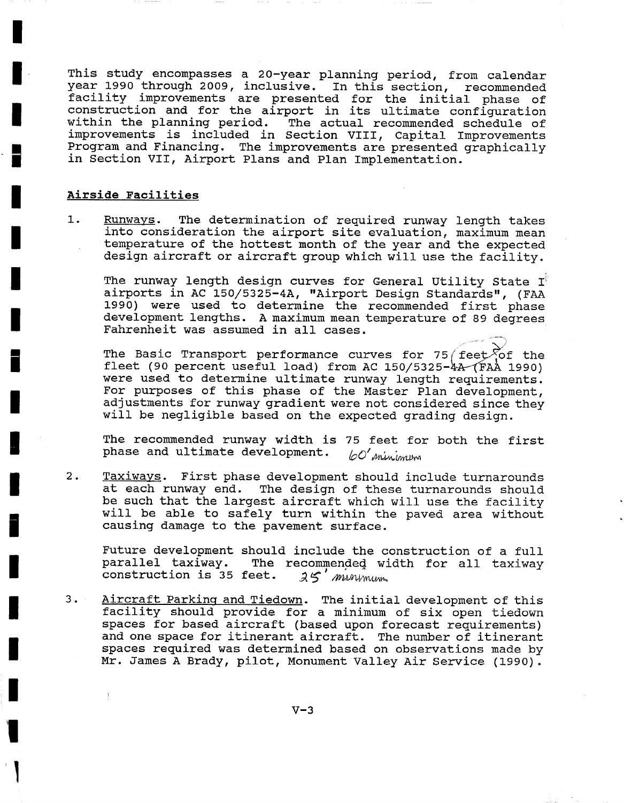This study encompasses a 20-year planning period, from calendar year 1990 through 2009, inclusive. In this section, recommended facility improvements are presented for the initial phase of construction and for the airport in its ultimate configuration within the planning period. The actual recommended schedule of improvements is included in Section VIII, Capital Improvements Program and Financing. The improvements are presented graphically in Section VII, Airport Plans and Plan Implementation.

## **Airside Facilities**

**I** 

**I** 

**I** 

**|** 

**I** 

**I** 

**I** 

**I** 

**i** 

**I** 

**I** 

**I** 

**i** 

**I** 

**I** 

**I** 

**I** 

 $\mathbf I$ 

**I** 

1. Runways. The determination of required runway length takes into consideration the airport site evaluation, maximum mean temperature of the hottest month of the year and the expected design aircraft or aircraft group which will use the facility.

The runway length design curves for General Utility State  $I^{\circ}$ airports in AC 150/5325-4A, "Airport Design Standards", (FAA 1990) were used to determine the recommended first phase development lengths. A maximum mean temperature of 89 degrees Fahrenheit was assumed in all cases.

The Basic Transport performance curves for 75/feet  $\sqrt{2}$  the fleet (90 percent useful load) from AC  $150/5325-\frac{\lambda}{4}A$  (FAA 1990) were used to determine ultimate runway length requirements. For purposes of this phase of the Master Plan development, adjustments for runway gradient were not considered since they will be negligible based on the expected grading design.

The recommended runway width is 75 feet for both the first phase and ultimate development.  $\omega'$  minimum

2. Taxiways. First phase development should include turnarounds at each runway end. The design of these turnarounds should be such that the largest aircraft which will use the facility will be able to safely turn within the paved area without causing damage to the pavement surface.

Future development should include the construction of a full<br>parallel taxiway. The recommended width for all taxiway The recommended width for all taxiway<br>eet.  $25'$  minumum. construction is 35 feet.

3. Aircraft Parking and Tiedown. The initial development of this facility should provide for a minimum of six open tiedown spaces for based aircraft (based upon forecast requirements) and one space for itinerant aircraft. The number of itinerant spaces required was determined based on observations made by Mr. James A Brady, pilot, Monument Valley Air Service (1990).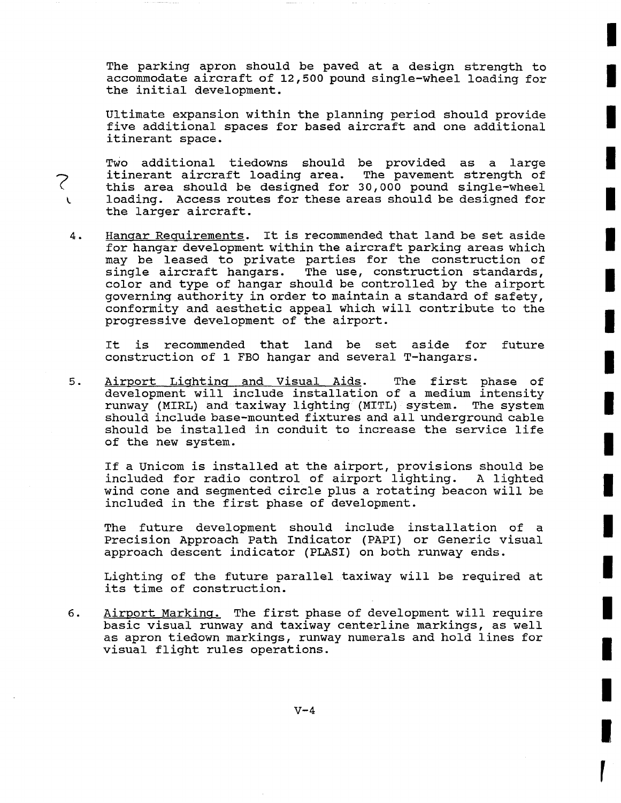The parking apron should be paved at a design strength to accommodate aircraft of 12,500 pound single-wheel loading for the initial development.

Ultimate expansion within the planning period should provide five additional spaces for based aircraft and one additional itinerant space.

Two additional tiedowns should be provided as a large<br>itinerant aircraft loading area. The pavement strength of itinerant aircraft loading area. this area should be designed for 30,000 pound single-wheel loading. Access routes for these areas should be designed for the larger aircraft.

**?** 

. Hanqar Requirements. It is recommended that land be set aside for hangar development within the aircraft parking areas which may be leased to private parties for the construction of single aircraft hangars. The use, construction standards, The use, construction standards, color and type of hangar should be controlled by the airport governing authority in order to maintain a standard of safety, conformity and aesthetic appeal which will contribute to the progressive development of the airport.

It is recommended that land be set aside for future construction of 1 FBO hangar and several T-hangars.

. Airport Liqhtinq and Visual Aids. The first phase of development will include installation of a medium intensity runway (MIRL) and taxiway lighting (MITL) system. The system should include base-mounted fixtures and all underground cable should be installed in conduit to increase the service life of the new system.

If a Unicom is installed at the airport, provisions should be included for radio control of airport lighting. A lighted wind cone and segmented circle plus a rotating beacon will be included in the first phase of development.

The future development should include installation of a Precision Approach Path Indicator (PAPI) or Generic visual approach descent indicator (PLASI) on both runway ends.

Lighting of the future parallel taxiway will be required at its time of construction.

. Airport Markinq. The first phase of development will require basic visual runway and taxiway centerline markings, as well as apron tiedown markings, runway numerals and hold lines for visual flight rules operations.

 $V - 4$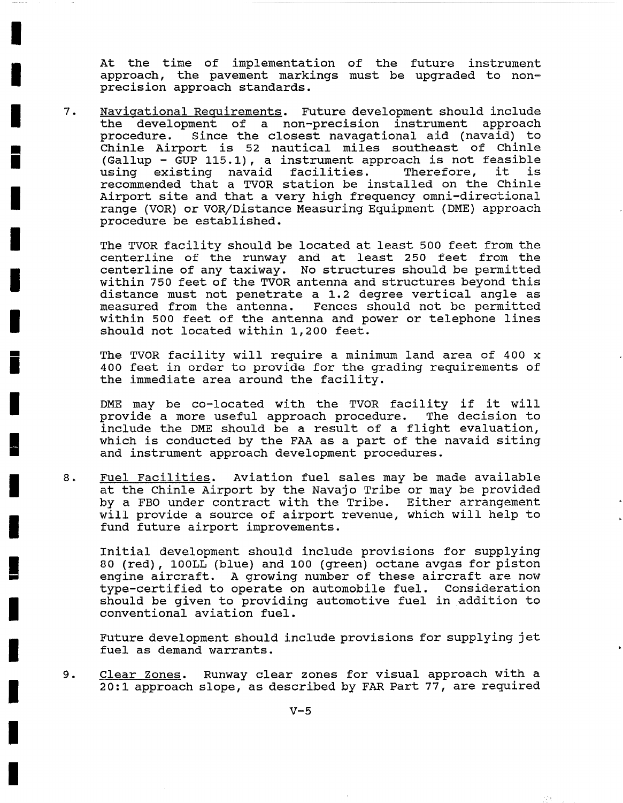At the time of implementation of the future instrument approach, the pavement markings must be upgraded to nonprecision approach standards.

. Navigational Requirements. Future development should include the development of a non-precision instrument approach procedure. Since the closest navagational aid (navaid) to Chinle Airport is 52 nautical miles southeast of Chinle (Gallup - GUP 115.1), a instrument approach is not feasible using existing navaid facilities. Therefore, it is recommended that a TVOR station be installed on the Chinle Airport site and that a very high frequency omni-directional range (VOR) or VOR/Distance Measuring Equipment (DME) approach procedure be established.

The TVOR facility should be located at least 500 feet from the centerline of the runway and at least 250 feet from the centerline of any taxiway. No structures should be permitted within 750 feet of the TVOR antenna and structures beyond this distance must not penetrate a 1.2 degree vertical angle as measured from the antenna. Fences should not be permitted within 500 feet of the antenna and power or telephone lines should not located within 1,200 feet.

The TVOR facility will require a minimum land area of 400 x 400 feet in order to provide for the grading requirements of the immediate area around the facility.

DME may be co-located with the TVOR facility if it will provide a more useful approach procedure. The decision to include the DME should be a result of a flight evaluation, which is conducted by the FAA as a part of the navaid siting and instrument approach development procedures.

**.**  Fuel Facilities. Aviation fuel sales may be made available at the Chinle Airport by the Navajo Tribe or may be provided by a FBO under contract with the Tribe. Either arrangement will provide a source of airport revenue, which will help to fund future airport improvements.

Initial development should include provisions for supplying 80 (red), 100LL (blue) and i00 (green) octane avgas for piston engine aircraft. A growing number of these aircraft are now type-certified to operate on automobile fuel. Consideration should be given to providing automotive fuel in addition to conventional aviation fuel.

Future development should include provisions for supplying jet fuel as demand warrants.

**.**  Clear Zones. Runway clear zones for visual approach with a 20:1 approach slope, as described by FAR Part 77, are required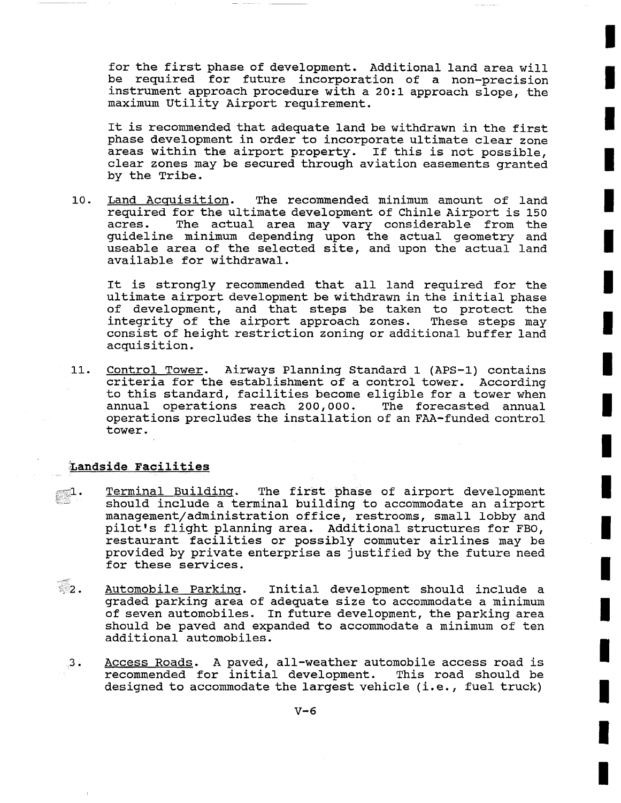for the first phase of development. Additional land area will be required for future incorporation of a non-precision instrument approach procedure with a 20:1 approach slope, the maximum Utility Airport requirement.

It is recommended that adequate land be withdrawn in the first phase development in order to incorporate ultimate clear zone areas within the airport property. If this is not possible, clear zones may be secured through aviation easements granted by the Tribe.

I0. Land Acquisition. The recommended minimum amount of land required for the ultimate development of Chinle Airport is 150 acres. The actual area may vary considerable from the guideline minimum depending upon the actual geometry and useable area of the selected site, and upon the actual land available for withdrawal.

It is strongly recommended that all land required for the ultimate airport development be withdrawn in the initial phase of development, and that steps be taken to protect the integrity of the airport approach zones. These steps may consist of height restriction zoning or additional buffer land acquisition.

ii. Control Tower. Airways Planning Standard 1 (APS-I) contains criteria for the establishment of a control tower. According to this standard, facilities become eligible for a tower when annual operations reach 200,000. The forecasted annual operations precludes the installation of an FAA-funded control tower.

# Landside Facilities

- $_{\mathscr{F}}$   $1$  . Terminal Building. The first phase of airport development should include a terminal building to accommodate an airport management/administration office, restrooms, small lobby and pilot's flight planning area. Additional structures for FBO, restaurant facilities or possibly commuter airlines may be provided by private enterprise as justified by the future need for these services.
- $\mathbb{Z}_2$ . Automobile Parking. Initial development should include a graded parking area of adequate size to accommodate a minimum of seven automobiles. In future development, the parking area should be paved and expanded to accommodate a minimum of ten additional automobiles.
	- 3. Access Roads. A paved, all-weather automobile access road is recommended for initial development. This road should be designed to accommodate the largest vehicle (i.e., fuel truck)

**!**